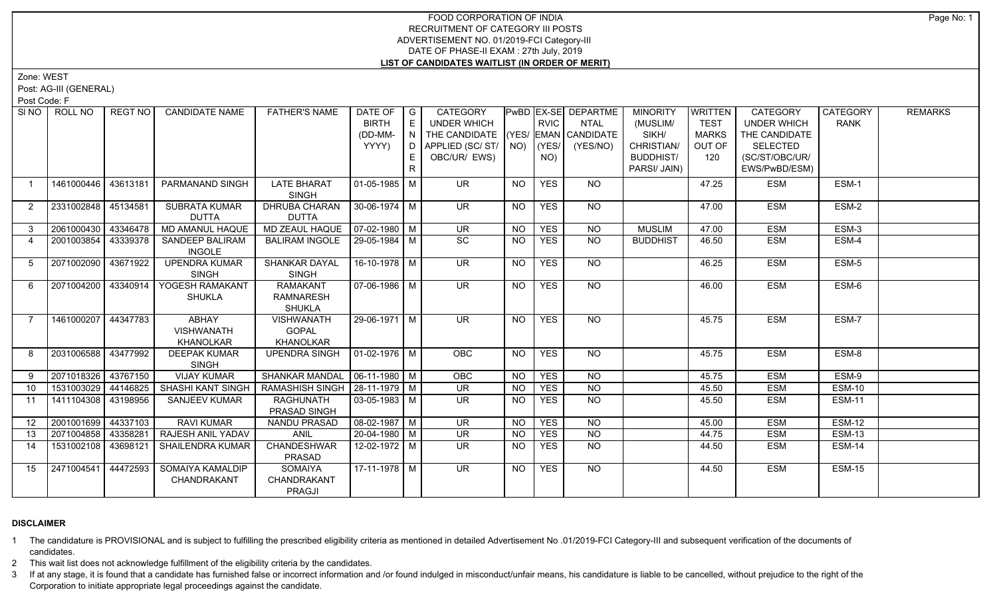# FOOD CORPORATION OF INDIA RECRUITMENT OF CATEGORY III POSTS ADVERTISEMENT NO. 01/2019-FCI Category-III DATE OF PHASE-II EXAM : 27th July, 2019 **LIST OF CANDIDATES WAITLIST (IN ORDER OF MERIT)**

Zone: WEST

Post: AG-III (GENERAL)

Post Code: F

|                   | SINO ROLL NO          | REGT NO  | <b>CANDIDATE NAME</b>   | <b>FATHER'S NAME</b>             | DATE OF $ G $              |              | CATEGORY                           |                 |             | PwBD EX-SE DEPARTME | <b>MINORITY</b>  | <b>WRITTEN</b> | CATEGORY           | CATEGORY      | <b>REMARKS</b> |
|-------------------|-----------------------|----------|-------------------------|----------------------------------|----------------------------|--------------|------------------------------------|-----------------|-------------|---------------------|------------------|----------------|--------------------|---------------|----------------|
|                   |                       |          |                         |                                  | <b>BIRTH</b>               | E            | <b>UNDER WHICH</b>                 |                 | <b>RVIC</b> | <b>NTAL</b>         | (MUSLIM/         | <b>TEST</b>    | <b>UNDER WHICH</b> | <b>RANK</b>   |                |
|                   |                       |          |                         |                                  | (DD-MM-                    | N I          | THE CANDIDATE (YES/ EMAN CANDIDATE |                 |             |                     | SIKH/            | <b>MARKS</b>   | THE CANDIDATE      |               |                |
|                   |                       |          |                         |                                  | YYYY)                      |              | D   APPLIED (SC/ ST/   NO)         |                 | (YES/       | (YES/NO)            | CHRISTIAN/       | OUT OF         | <b>SELECTED</b>    |               |                |
|                   |                       |          |                         |                                  |                            |              | OBC/UR/ EWS)                       |                 | NO)         |                     | <b>BUDDHIST/</b> | 120            | (SC/ST/OBC/UR/     |               |                |
|                   |                       |          |                         |                                  |                            | $\mathsf{R}$ |                                    |                 |             |                     | PARSI/ JAIN)     |                | EWS/PwBD/ESM)      |               |                |
|                   | 1461000446            | 43613181 | PARMANAND SINGH         | <b>LATE BHARAT</b>               | 01-05-1985   M             |              | <b>UR</b>                          | <b>NO</b>       | <b>YES</b>  | NO                  |                  | 47.25          | <b>ESM</b>         | ESM-1         |                |
|                   |                       |          |                         | <b>SINGH</b>                     |                            |              |                                    |                 |             |                     |                  |                |                    |               |                |
| $\overline{2}$    | 2331002848 45134581   |          | <b>SUBRATA KUMAR</b>    | DHRUBA CHARAN                    | 30-06-1974 M               |              | <b>UR</b>                          | NO              | <b>YES</b>  | <b>NO</b>           |                  | 47.00          | <b>ESM</b>         | ESM-2         |                |
|                   |                       |          | <b>DUTTA</b>            | <b>DUTTA</b>                     |                            |              |                                    |                 |             |                     |                  |                |                    |               |                |
| 3                 | 2061000430            | 43346478 | MD AMANUL HAQUE         | <b>MD ZEAUL HAQUE</b>            | $\boxed{07 - 02 - 1980}$ M |              | <b>UR</b>                          | <b>NO</b>       | <b>YES</b>  | <b>NO</b>           | <b>MUSLIM</b>    | 47.00          | ESM                | ESM-3         |                |
| $\overline{4}$    | 2001003854            | 43339378 | SANDEEP BALIRAM         | <b>BALIRAM INGOLE</b>            | 29-05-1984 M               |              | SC                                 | <b>NO</b>       | <b>YES</b>  | <b>NO</b>           | <b>BUDDHIST</b>  | 46.50          | <b>ESM</b>         | ESM-4         |                |
|                   |                       |          | <b>INGOLE</b>           |                                  |                            |              |                                    |                 |             |                     |                  |                |                    |               |                |
| 5                 | 2071002090 43671922   |          | <b>UPENDRA KUMAR</b>    | <b>SHANKAR DAYAL</b>             | 16-10-1978 M               |              | $\overline{\mathsf{UR}}$           | <b>NO</b>       | <b>YES</b>  | NO                  |                  | 46.25          | <b>ESM</b>         | ESM-5         |                |
|                   |                       |          | <b>SINGH</b>            | <b>SINGH</b>                     |                            |              |                                    |                 |             |                     |                  |                |                    |               |                |
| 6                 | 2071004200 43340914   |          | YOGESH RAMAKANT         | <b>RAMAKANT</b>                  | $\boxed{07 - 06 - 1986}$ M |              | UR                                 | <b>NO</b>       | <b>YES</b>  | NO                  |                  | 46.00          | ESM                | ESM-6         |                |
|                   |                       |          | <b>SHUKLA</b>           | <b>RAMNARESH</b>                 |                            |              |                                    |                 |             |                     |                  |                |                    |               |                |
|                   |                       |          |                         | <b>SHUKLA</b>                    |                            |              |                                    |                 |             |                     |                  |                |                    |               |                |
| $\overline{7}$    | 1461000207 44347783   |          | <b>ABHAY</b>            | <b>VISHWANATH</b>                | $29 - 06 - 1971$ M         |              | UR                                 | $\overline{NO}$ | <b>YES</b>  | $N$ O               |                  | 45.75          | <b>ESM</b>         | ESM-7         |                |
|                   |                       |          | <b>VISHWANATH</b>       | <b>GOPAL</b>                     |                            |              |                                    |                 |             |                     |                  |                |                    |               |                |
|                   |                       |          | KHANOLKAR               | KHANOLKAR                        |                            |              |                                    |                 |             |                     |                  |                |                    |               |                |
| 8                 | 2031006588   43477992 |          | <b>DEEPAK KUMAR</b>     | <b>UPENDRA SINGH</b>             | $101-02-1976$ M            |              | <b>OBC</b>                         | <b>NO</b>       | <b>YES</b>  | NO                  |                  | 45.75          | <b>ESM</b>         | ESM-8         |                |
|                   |                       |          | <b>SINGH</b>            |                                  |                            |              |                                    |                 |             |                     |                  |                |                    |               |                |
| 9                 | 2071018326 43767150   |          | <b>VIJAY KUMAR</b>      | SHANKAR MANDAL   06-11-1980   M  |                            |              | OBC                                | <b>NO</b>       | <b>YES</b>  | NO                  |                  | 45.75          | <b>ESM</b>         | ESM-9         |                |
| 10                | 1531003029            | 44146825 | SHASHI KANT SINGH       | RAMASHISH SINGH   28-11-1979   M |                            |              | $\overline{\mathsf{UR}}$           | NO.             | <b>YES</b>  | N <sub>O</sub>      |                  | 45.50          | <b>ESM</b>         | <b>ESM-10</b> |                |
| 11                | 1411104308 43198956   |          | SANJEEV KUMAR           | <b>RAGHUNATH</b>                 | 03-05-1983   M             |              | UR                                 | NO.             | <b>YES</b>  | $N$ O               |                  | 45.50          | ESM                | <b>ESM-11</b> |                |
|                   |                       |          |                         | PRASAD SINGH                     |                            |              |                                    |                 |             |                     |                  |                |                    |               |                |
| $12 \overline{ }$ | 2001001699            | 44337103 | <b>RAVI KUMAR</b>       | <b>NANDU PRASAD</b>              | $\boxed{08 - 02 - 1987}$ M |              | $\overline{\mathsf{UR}}$           | <b>NO</b>       | <b>YES</b>  | N <sub>O</sub>      |                  | 45.00          | <b>ESM</b>         | <b>ESM-12</b> |                |
| 13                | 2071004858            | 43358281 | RAJESH ANIL YADAV       | ANIL                             | $20-04-1980$ M             |              | <b>UR</b>                          | NO.             | <b>YES</b>  | N <sub>O</sub>      |                  | 44.75          | <b>ESM</b>         | <b>ESM-13</b> |                |
| 14                | 1531002108            | 43698121 | <b>SHAILENDRA KUMAR</b> | CHANDESHWAR                      | 12-02-1972 M               |              | UR                                 | NO.             | <b>YES</b>  | NO                  |                  | 44.50          | ESM                | ESM-14        |                |
|                   |                       |          |                         | PRASAD                           |                            |              |                                    |                 |             |                     |                  |                |                    |               |                |
| 15                | 2471004541            | 44472593 | SOMAIYA KAMALDIP        | <b>SOMAIYA</b>                   | $17-11-1978$ M             |              | UR.                                | NO.             | <b>YES</b>  | NO                  |                  | 44.50          | <b>ESM</b>         | <b>ESM-15</b> |                |
|                   |                       |          | CHANDRAKANT             | CHANDRAKANT                      |                            |              |                                    |                 |             |                     |                  |                |                    |               |                |
|                   |                       |          |                         | <b>PRAGJI</b>                    |                            |              |                                    |                 |             |                     |                  |                |                    |               |                |

# **DISCLAIMER**

1 The candidature is PROVISIONAL and is subject to fulfilling the prescribed eligibility criteria as mentioned in detailed Advertisement No .01/2019-FCI Category-III and subsequent verification of the documents of candidates.

2 This wait list does not acknowledge fulfillment of the eligibility criteria by the candidates.

3 If at any stage, it is found that a candidate has furnished false or incorrect information and /or found indulged in misconduct/unfair means, his candidature is liable to be cancelled, without prejudice to the right of t Corporation to initiate appropriate legal proceedings against the candidate.

Page No: 1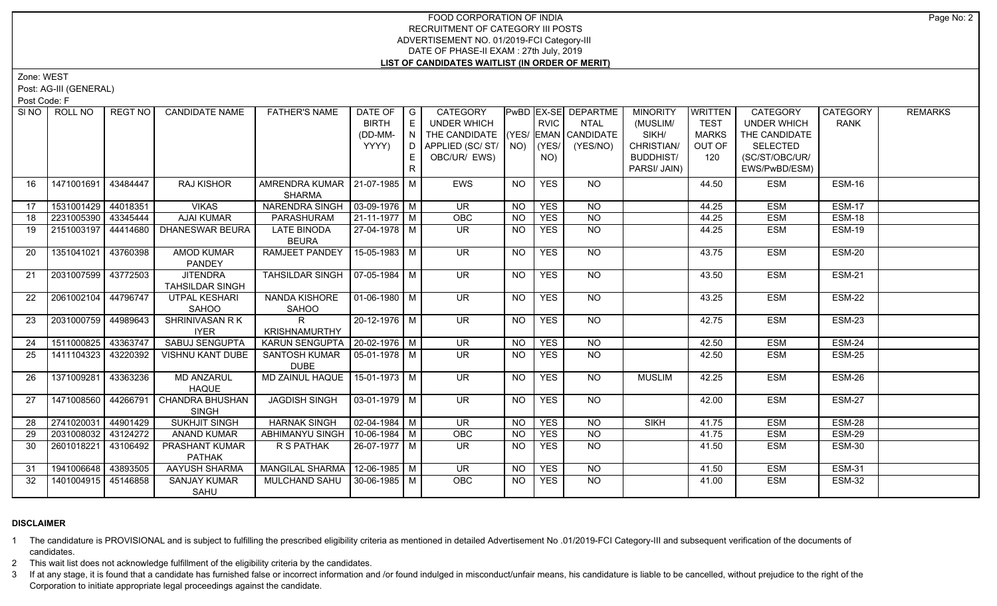# FOOD CORPORATION OF INDIA RECRUITMENT OF CATEGORY III POSTS ADVERTISEMENT NO. 01/2019-FCI Category-III DATE OF PHASE-II EXAM : 27th July, 2019 **LIST OF CANDIDATES WAITLIST (IN ORDER OF MERIT)**

Zone: WEST

Post: AG-III (GENERAL)

Post Code: F

| SI <sub>NO</sub> | ROLL NO             | REGT NO  | <b>CANDIDATE NAME</b>                     | <b>FATHER'S NAME</b>                          | DATE OF $ G $<br><b>BIRTH</b><br>(DD-MM-<br>YYYY) | E<br>N<br>E.<br>R. | CATEGORY<br><b>UNDER WHICH</b><br>THE CANDIDATE (YES/ EMAN CANDIDATE<br>D APPLIED (SC/ ST/   NO)  <br>OBC/UR/ EWS) |                | <b>RVIC</b><br> YES <br>NO) | PwBD EX-SE DEPARTME<br>NTAL<br>(YES/NO) | <b>MINORITY</b><br>(MUSLIM/<br>SIKH/<br>CHRISTIAN/<br><b>BUDDHIST/</b><br>PARSI/ JAIN) | <b>WRITTEN</b><br><b>TEST</b><br><b>MARKS</b><br>OUT OF<br>120 | <b>CATEGORY</b><br><b>UNDER WHICH</b><br>THE CANDIDATE<br><b>SELECTED</b><br>(SC/ST/OBC/UR/<br>EWS/PwBD/ESM) | CATEGORY<br><b>RANK</b> | <b>REMARKS</b> |
|------------------|---------------------|----------|-------------------------------------------|-----------------------------------------------|---------------------------------------------------|--------------------|--------------------------------------------------------------------------------------------------------------------|----------------|-----------------------------|-----------------------------------------|----------------------------------------------------------------------------------------|----------------------------------------------------------------|--------------------------------------------------------------------------------------------------------------|-------------------------|----------------|
| 16               | 1471001691          | 43484447 | <b>RAJ KISHOR</b>                         | AMRENDRA KUMAR   21-07-1985   M<br>SHARMA     |                                                   |                    | EWS                                                                                                                | <b>NO</b>      | <b>YES</b>                  | NO                                      |                                                                                        | 44.50                                                          | <b>ESM</b>                                                                                                   | <b>ESM-16</b>           |                |
| 17               | 1531001429 44018351 |          | <b>VIKAS</b>                              | NARENDRA SINGH                                | $\sqrt{03-09-1976}$ M                             |                    | <b>UR</b>                                                                                                          | <b>NO</b>      | <b>YES</b>                  | <b>NO</b>                               |                                                                                        | 44.25                                                          | <b>ESM</b>                                                                                                   | $ESM-17$                |                |
| 18               | 2231005390 43345444 |          | AJAI KUMAR                                | PARASHURAM                                    | 21-11-1977   M                                    |                    | <b>OBC</b>                                                                                                         | NO.            | <b>YES</b>                  | <b>NO</b>                               |                                                                                        | 44.25                                                          | <b>ESM</b>                                                                                                   | <b>ESM-18</b>           |                |
| 19               | 2151003197 44414680 |          | <b>DHANESWAR BEURA</b>                    | LATE BINODA<br><b>BEURA</b>                   | 27-04-1978   M                                    |                    | <b>UR</b>                                                                                                          | <b>NO</b>      | <b>YES</b>                  | <b>NO</b>                               |                                                                                        | 44.25                                                          | <b>ESM</b>                                                                                                   | <b>ESM-19</b>           |                |
| 20               | 1351041021 43760398 |          | <b>AMOD KUMAR</b><br>PANDEY               | RAMJEET PANDEY                                | $15-05-1983$ M                                    |                    | $\overline{\mathsf{UR}}$                                                                                           | <b>NO</b>      | <b>YES</b>                  | $N$ <sup>O</sup>                        |                                                                                        | 43.75                                                          | <b>ESM</b>                                                                                                   | <b>ESM-20</b>           |                |
| 21               | 2031007599 43772503 |          | <b>JITENDRA</b><br><b>TAHSILDAR SINGH</b> | TAHSILDAR SINGH   07-05-1984   M              |                                                   |                    | $\overline{\mathsf{UR}}$                                                                                           | NO.            | <b>YES</b>                  | NO                                      |                                                                                        | 43.50                                                          | <b>ESM</b>                                                                                                   | <b>ESM-21</b>           |                |
| 22               | 2061002104 44796747 |          | UTPAL KESHARI<br>SAHOO                    | NANDA KISHORE<br>SAHOO                        | $\vert$ 01-06-1980 $\vert$ M                      |                    | $\overline{\mathsf{UR}}$                                                                                           | <b>NO</b>      | <b>YES</b>                  | $N$ <sup>O</sup>                        |                                                                                        | 43.25                                                          | <b>ESM</b>                                                                                                   | ESM-22                  |                |
| 23               | 2031000759 44989643 |          | SHRINIVASAN R K<br><b>IYER</b>            | KRISHNAMURTHY                                 | 20-12-1976 M                                      |                    | $\overline{\mathsf{UR}}$                                                                                           | <b>NO</b>      | <b>YES</b>                  | <b>NO</b>                               |                                                                                        | 42.75                                                          | <b>ESM</b>                                                                                                   | ESM-23                  |                |
| 24               | 1511000825 43363747 |          | SABUJ SENGUPTA                            | KARUN SENGUPTA   20-02-1976   M               |                                                   |                    | UR                                                                                                                 | <b>NO</b>      | <b>YES</b>                  | <b>NO</b>                               |                                                                                        | 42.50                                                          | <b>ESM</b>                                                                                                   | <b>ESM-24</b>           |                |
| 25               | 1411104323          | 43220392 | VISHNU KANT DUBE                          | SANTOSH KUMAR   05-01-1978   M<br><b>DUBE</b> |                                                   |                    | $\overline{\mathsf{UR}}$                                                                                           | <b>NO</b>      | <b>YES</b>                  | <b>NO</b>                               |                                                                                        | 42.50                                                          | <b>ESM</b>                                                                                                   | <b>ESM-25</b>           |                |
| 26               | 1371009281 43363236 |          | <b>MD ANZARUL</b><br><b>HAQUE</b>         | MD ZAINUL HAQUE   15-01-1973   M              |                                                   |                    | UR.                                                                                                                | <b>NO</b>      | <b>YES</b>                  | NO                                      | <b>MUSLIM</b>                                                                          | 42.25                                                          | <b>ESM</b>                                                                                                   | <b>ESM-26</b>           |                |
| 27               | 1471008560 44266791 |          | CHANDRA BHUSHAN<br><b>SINGH</b>           | <b>JAGDISH SINGH</b>                          | 03-01-1979   M                                    |                    | UR                                                                                                                 | NO.            | <b>YES</b>                  | NO.                                     |                                                                                        | 42.00                                                          | <b>ESM</b>                                                                                                   | ESM-27                  |                |
| 28               | 2741020031 44901429 |          | <b>SUKHJIT SINGH</b>                      | <b>HARNAK SINGH</b>                           | $\sqrt{02-04-1984}$ M                             |                    | $\overline{\mathsf{UR}}$                                                                                           | N <sub>O</sub> | <b>YES</b>                  | $N$ O                                   | <b>SIKH</b>                                                                            | 41.75                                                          | <b>ESM</b>                                                                                                   | <b>ESM-28</b>           |                |
| 29               | 2031008032 43124272 |          | <b>ANAND KUMAR</b>                        | ABHIMANYU SINGH   10-06-1984   M              |                                                   |                    | OBC                                                                                                                | $N$ O          | <b>YES</b>                  | N <sub>O</sub>                          |                                                                                        | 41.75                                                          | <b>ESM</b>                                                                                                   | <b>ESM-29</b>           |                |
| 30               | 2601018221 43106492 |          | PRASHANT KUMAR<br><b>PATHAK</b>           | R S PATHAK                                    | 26-07-1977   M                                    |                    | $\overline{\mathsf{UR}}$                                                                                           | <b>NO</b>      | <b>YES</b>                  | N <sub>O</sub>                          |                                                                                        | 41.50                                                          | <b>ESM</b>                                                                                                   | <b>ESM-30</b>           |                |
| 31               | 1941006648 43893505 |          | AAYUSH SHARMA                             | MANGILAL SHARMA   12-06-1985   M              |                                                   |                    | UR                                                                                                                 | <b>NO</b>      | <b>YES</b>                  | <b>NO</b>                               |                                                                                        | 41.50                                                          | <b>ESM</b>                                                                                                   | <b>ESM-31</b>           |                |
| 32               | 1401004915 45146858 |          | SANJAY KUMAR<br>SAHU                      | MULCHAND SAHU   30-06-1985   M                |                                                   |                    | <b>OBC</b>                                                                                                         | NO.            | <b>YES</b>                  | NO                                      |                                                                                        | 41.00                                                          | <b>ESM</b>                                                                                                   | <b>ESM-32</b>           |                |

# **DISCLAIMER**

1 The candidature is PROVISIONAL and is subject to fulfilling the prescribed eligibility criteria as mentioned in detailed Advertisement No .01/2019-FCI Category-III and subsequent verification of the documents of candidates.

2 This wait list does not acknowledge fulfillment of the eligibility criteria by the candidates.

3 If at any stage, it is found that a candidate has furnished false or incorrect information and /or found indulged in misconduct/unfair means, his candidature is liable to be cancelled, without prejudice to the right of t Corporation to initiate appropriate legal proceedings against the candidate.

Page No: 2